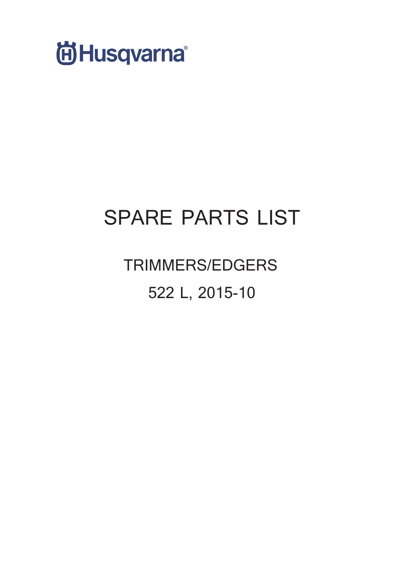

# **SPARE PARTS LIST**

**TRIMMERS/EDGERS 522 L, 2015-10**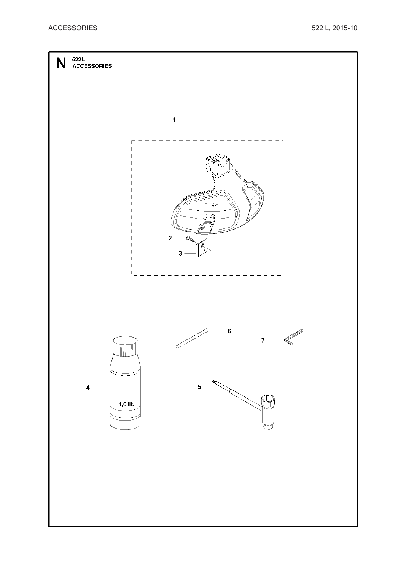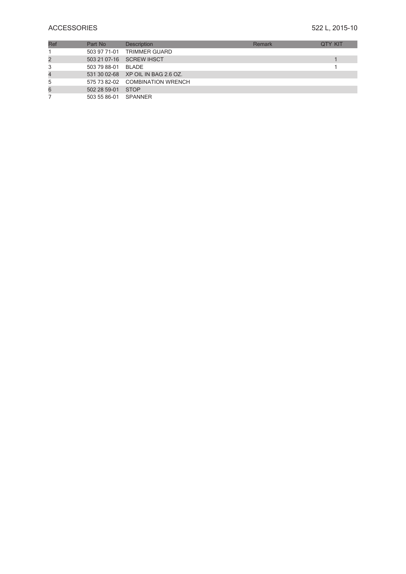# **ACCESSORIES** 522 L, 2015-10

| Ref | Part No              | <b>Description</b>                 | Remark | <b>OTY KIT</b> |
|-----|----------------------|------------------------------------|--------|----------------|
|     |                      | 503 97 71-01 TRIMMER GUARD         |        |                |
| 2   |                      | 503 21 07-16 SCREW IHSCT           |        |                |
| 3   | 503 79 88-01         | BI ADE                             |        |                |
| 4   |                      | 531 30 02-68 XP OIL IN BAG 2.6 OZ. |        |                |
| 5   |                      | 575 73 82-02 COMBINATION WRENCH    |        |                |
| 6   | 502 28 59-01         | <b>STOP</b>                        |        |                |
|     | 503 55 86-01 SPANNER |                                    |        |                |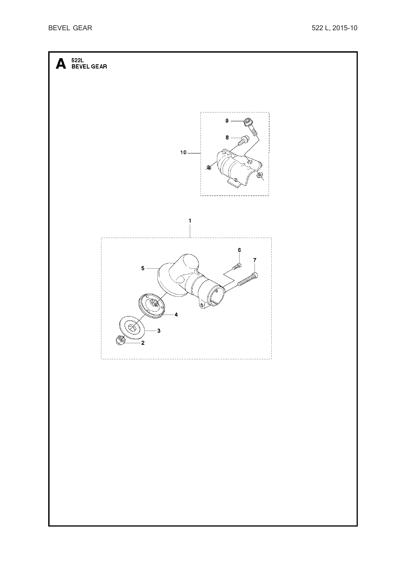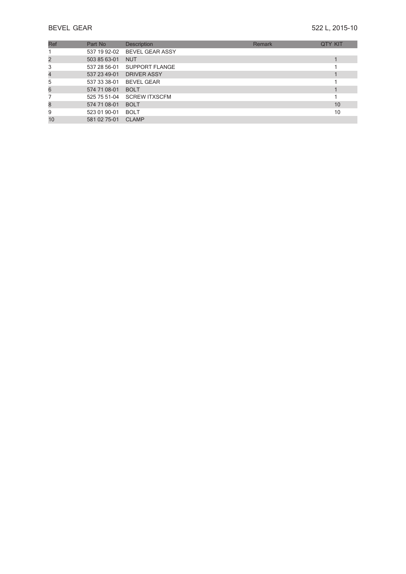| Ref | Part No      | Description                  | Remark | <b>QTY KIT</b> |
|-----|--------------|------------------------------|--------|----------------|
|     |              | 537 19 92-02 BEVEL GEAR ASSY |        |                |
|     | 503 85 63-01 | <b>NUT</b>                   |        |                |
| 3   | 537 28 56-01 | SUPPORT FLANGE               |        |                |
|     | 537 23 49-01 | <b>DRIVER ASSY</b>           |        |                |
| 5   | 537 33 38-01 | <b>BEVEL GEAR</b>            |        |                |
| 6   | 574 71 08-01 | <b>BOLT</b>                  |        |                |
|     | 525 75 51-04 | <b>SCREW ITXSCFM</b>         |        |                |
| 8   | 574 71 08-01 | <b>BOLT</b>                  |        | 10             |
| 9   | 523 01 90-01 | <b>BOLT</b>                  |        | 10             |
| 10  | 581 02 75-01 | <b>CLAMP</b>                 |        |                |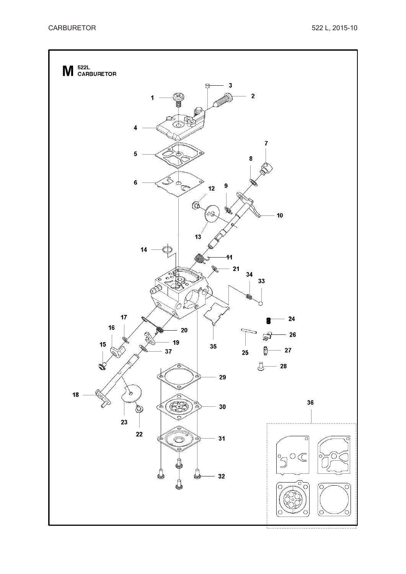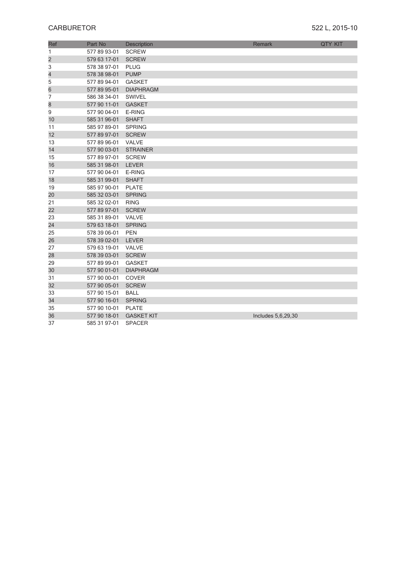| Ref                     | Part No      |                             | Remark             | <b>QTY KIT</b> |
|-------------------------|--------------|-----------------------------|--------------------|----------------|
| 1                       | 577 89 93-01 | Description<br><b>SCREW</b> |                    |                |
| $\overline{\mathbf{c}}$ | 579 63 17-01 | <b>SCREW</b>                |                    |                |
| 3                       | 578 38 97-01 | <b>PLUG</b>                 |                    |                |
| 4                       | 578 38 98-01 | <b>PUMP</b>                 |                    |                |
|                         | 577 89 94-01 | <b>GASKET</b>               |                    |                |
| 5                       | 577 89 95-01 | <b>DIAPHRAGM</b>            |                    |                |
| 6<br>7                  |              | <b>SWIVEL</b>               |                    |                |
|                         | 586 38 34-01 |                             |                    |                |
| 8                       | 577 90 11-01 | <b>GASKET</b>               |                    |                |
| 9                       | 577 90 04-01 | E-RING                      |                    |                |
| 10                      | 585 31 96-01 | <b>SHAFT</b>                |                    |                |
| 11                      | 585 97 89-01 | <b>SPRING</b>               |                    |                |
| 12                      | 577 89 97-01 | <b>SCREW</b>                |                    |                |
| 13                      | 577 89 96-01 | VALVE                       |                    |                |
| 14                      | 577 90 03-01 | <b>STRAINER</b>             |                    |                |
| 15                      | 577 89 97-01 | <b>SCREW</b>                |                    |                |
| 16                      | 585 31 98-01 | <b>LEVER</b>                |                    |                |
| 17                      | 577 90 04-01 | E-RING                      |                    |                |
| 18                      | 585 31 99-01 | <b>SHAFT</b>                |                    |                |
| 19                      | 585 97 90-01 | <b>PLATE</b>                |                    |                |
| 20                      | 585 32 03-01 | <b>SPRING</b>               |                    |                |
| 21                      | 585 32 02-01 | <b>RING</b>                 |                    |                |
| 22                      | 577 89 97-01 | <b>SCREW</b>                |                    |                |
| 23                      | 585 31 89-01 | VALVE                       |                    |                |
| 24                      | 579 63 18-01 | <b>SPRING</b>               |                    |                |
| 25                      | 578 39 06-01 | <b>PEN</b>                  |                    |                |
| 26                      | 578 39 02-01 | <b>LEVER</b>                |                    |                |
| 27                      | 579 63 19-01 | <b>VALVE</b>                |                    |                |
| 28                      | 578 39 03-01 | <b>SCREW</b>                |                    |                |
| 29                      | 577 89 99-01 | <b>GASKET</b>               |                    |                |
| 30                      | 577 90 01-01 | <b>DIAPHRAGM</b>            |                    |                |
| 31                      | 577 90 00-01 | <b>COVER</b>                |                    |                |
| 32                      | 577 90 05-01 | <b>SCREW</b>                |                    |                |
| 33                      | 577 90 15-01 | <b>BALL</b>                 |                    |                |
| 34                      | 577 90 16-01 | <b>SPRING</b>               |                    |                |
| 35                      | 577 90 10-01 | <b>PLATE</b>                |                    |                |
| 36                      | 577 90 18-01 | <b>GASKET KIT</b>           | Includes 5,6,29,30 |                |
| 37                      | 585 31 97-01 | <b>SPACER</b>               |                    |                |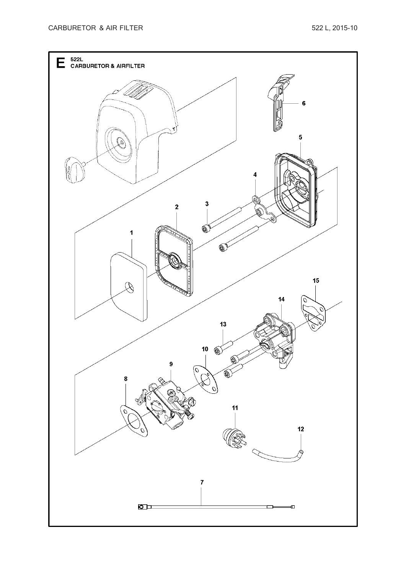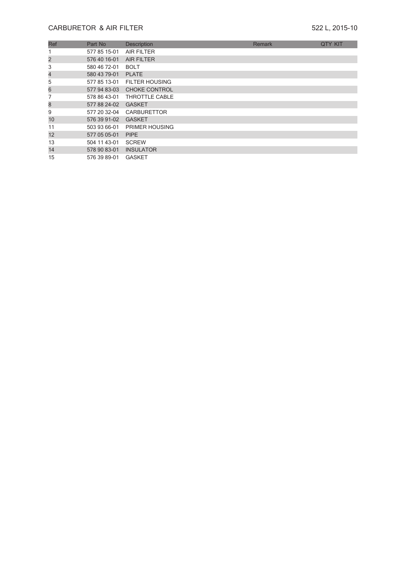# **CARBURETOR & AIR FILTER** 522 L, 2015-10

| Ref | Part No      | <b>Description</b>    | Remark | <b>QTY KIT</b> |
|-----|--------------|-----------------------|--------|----------------|
|     | 577 85 15-01 | <b>AIR FILTER</b>     |        |                |
| 2   | 576 40 16-01 | <b>AIR FILTER</b>     |        |                |
| 3   | 580 46 72-01 | <b>BOLT</b>           |        |                |
| 4   | 580 43 79-01 | <b>PLATE</b>          |        |                |
| 5   | 577 85 13-01 | <b>FILTER HOUSING</b> |        |                |
| 6   | 577 94 83-03 | <b>CHOKE CONTROL</b>  |        |                |
|     | 578 86 43-01 | THROTTLE CABLE        |        |                |
| 8   | 577 88 24-02 | <b>GASKET</b>         |        |                |
| 9   | 577 20 32-04 | <b>CARBURETTOR</b>    |        |                |
| 10  | 576 39 91-02 | <b>GASKET</b>         |        |                |
| 11  | 503 93 66-01 | PRIMER HOUSING        |        |                |
| 12  | 577 05 05-01 | <b>PIPE</b>           |        |                |
| 13  | 504 11 43-01 | <b>SCREW</b>          |        |                |
| 14  | 578 90 83-01 | <b>INSULATOR</b>      |        |                |
| 15  | 576 39 89-01 | <b>GASKET</b>         |        |                |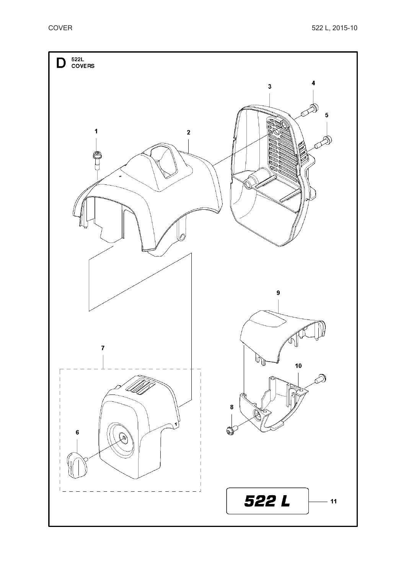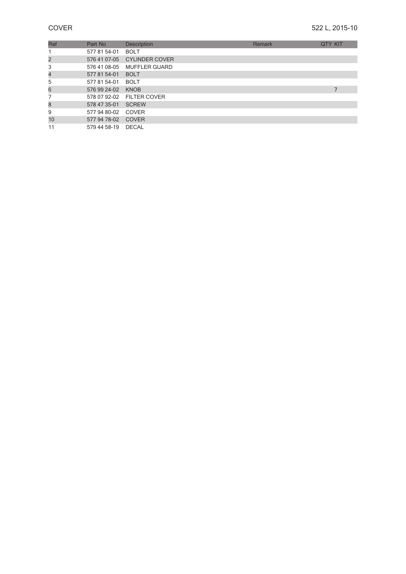| Ref | Part No            | <b>Description</b>          | Remark | <b>QTY KIT</b> |  |
|-----|--------------------|-----------------------------|--------|----------------|--|
|     | 577 81 54-01       | <b>BOLT</b>                 |        |                |  |
| 2   |                    | 576 41 07-05 CYLINDER COVER |        |                |  |
| 3   |                    | 576 41 08-05 MUFFLER GUARD  |        |                |  |
| 4   | 577 81 54-01       | <b>BOLT</b>                 |        |                |  |
| 5   | 577 81 54-01       | <b>BOLT</b>                 |        |                |  |
| 6   | 576 99 24-02       | <b>KNOB</b>                 |        |                |  |
|     |                    | 578 07 92-02 FILTER COVER   |        |                |  |
| 8   | 578 47 35-01       | SCREW                       |        |                |  |
| 9   | 577 94 80-02 COVER |                             |        |                |  |
| 10  | 577 94 78-02       | COVER                       |        |                |  |
| 11  | 579 44 58-19 DECAL |                             |        |                |  |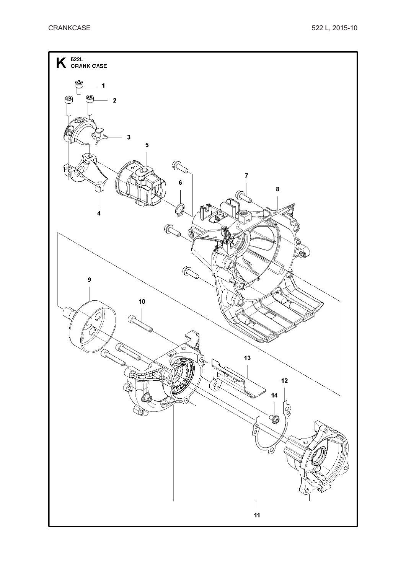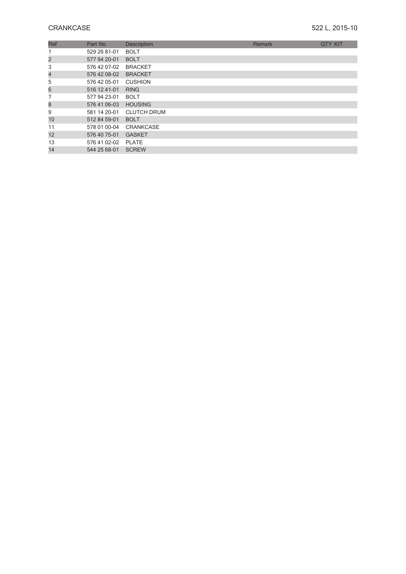| Ref                     | Part No      | <b>Description</b> | Remark | <b>QTY KIT</b> |
|-------------------------|--------------|--------------------|--------|----------------|
|                         | 529 26 81-01 | <b>BOLT</b>        |        |                |
| $\overline{\mathbf{c}}$ | 577 94 20-01 | <b>BOLT</b>        |        |                |
| 3                       | 576 42 07-02 | <b>BRACKET</b>     |        |                |
| $\overline{\mathbf{4}}$ | 576 42 08-02 | <b>BRACKET</b>     |        |                |
| 5                       | 576 42 05-01 | <b>CUSHION</b>     |        |                |
| 6                       | 516 12 41-01 | <b>RING</b>        |        |                |
|                         | 577 94 23-01 | <b>BOLT</b>        |        |                |
| 8                       | 576 41 06-03 | <b>HOUSING</b>     |        |                |
| 9                       | 581 14 20-01 | <b>CLUTCH DRUM</b> |        |                |
| 10                      | 512 84 59-01 | <b>BOLT</b>        |        |                |
| 11                      | 578 01 00-04 | <b>CRANKCASE</b>   |        |                |
| 12                      | 576 40 75-01 | <b>GASKET</b>      |        |                |
| 13                      | 576 41 02-02 | <b>PLATE</b>       |        |                |
| 14                      | 544 25 68-01 | <b>SCREW</b>       |        |                |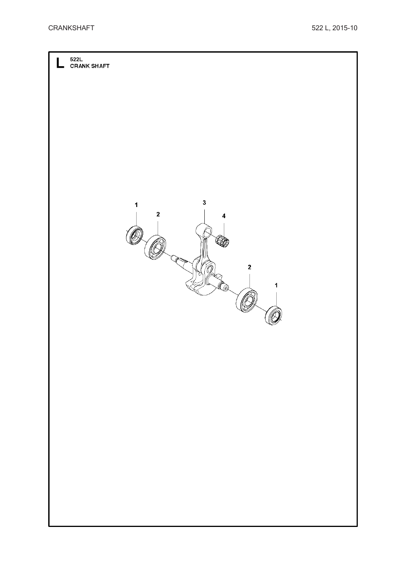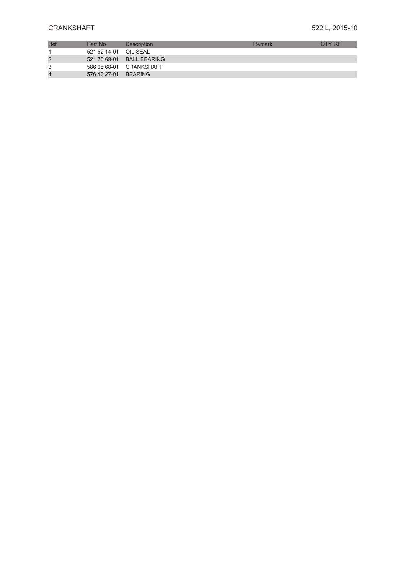| Ref            | Part No               | <b>Description</b>        | Remark | <b>OTY KIT</b> |
|----------------|-----------------------|---------------------------|--------|----------------|
|                | 521 52 14-01 OIL SEAL |                           |        |                |
| $\overline{2}$ |                       | 521 75 68-01 BALL BEARING |        |                |
|                |                       | 586 65 68-01 CRANKSHAFT   |        |                |
| $\overline{4}$ | 576 40 27-01 BEARING  |                           |        |                |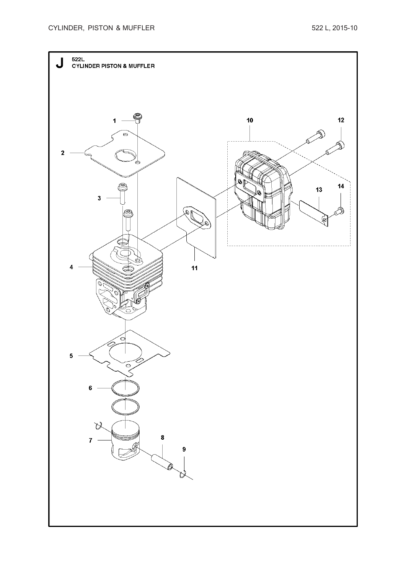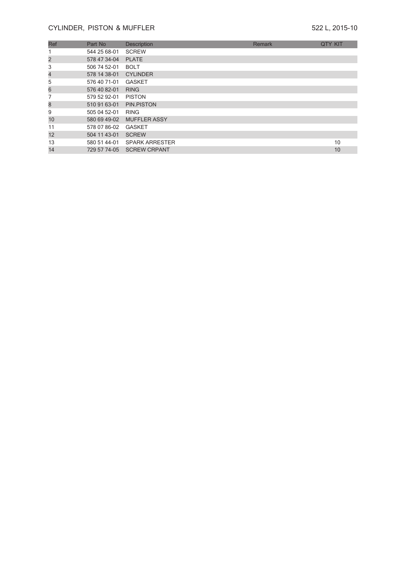## **CYLINDER, PISTON & MUFFLER** 522 L, 2015-10

| Ref                      | Part No      | <b>Description</b>    | Remark | <b>QTY KIT</b> |
|--------------------------|--------------|-----------------------|--------|----------------|
|                          | 544 25 68-01 | <b>SCREW</b>          |        |                |
| 2                        | 578 47 34-04 | <b>PLATE</b>          |        |                |
| 3                        | 506 74 52-01 | <b>BOLT</b>           |        |                |
| $\overline{\mathcal{A}}$ | 578 14 38-01 | <b>CYLINDER</b>       |        |                |
| 5                        | 576 40 71-01 | <b>GASKET</b>         |        |                |
| 6                        | 576 40 82-01 | <b>RING</b>           |        |                |
|                          | 579 52 92-01 | <b>PISTON</b>         |        |                |
| 8                        | 510 91 63-01 | PIN.PISTON            |        |                |
| 9                        | 505 04 52-01 | <b>RING</b>           |        |                |
| 10                       | 580 69 49-02 | <b>MUFFLER ASSY</b>   |        |                |
| 11                       | 578 07 86-02 | <b>GASKET</b>         |        |                |
| 12                       | 504 11 43-01 | <b>SCREW</b>          |        |                |
| 13                       | 580 51 44-01 | <b>SPARK ARRESTER</b> |        | 10             |
| 14                       | 729 57 74-05 | <b>SCREW CRPANT</b>   |        | 10             |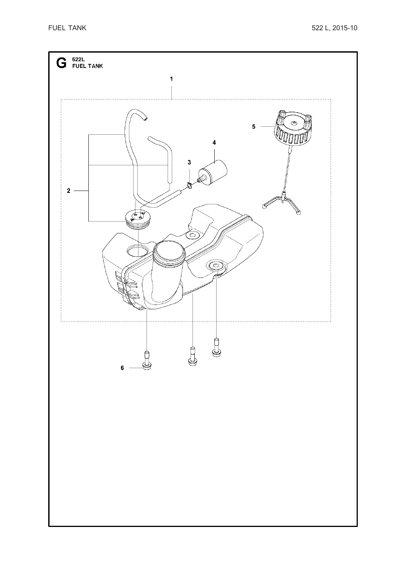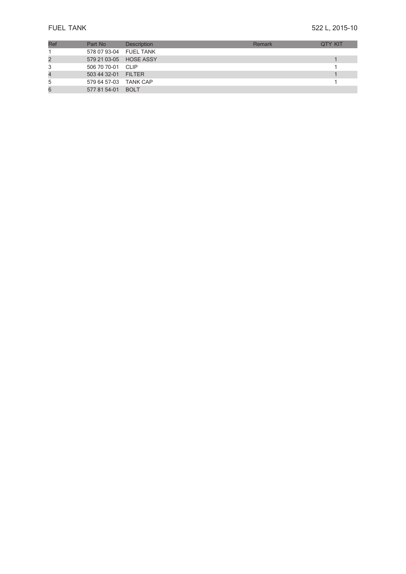| Ref | Part No                | Description | Remark | <b>OTY KIT</b> |
|-----|------------------------|-------------|--------|----------------|
|     | 578 07 93-04 FUEL TANK |             |        |                |
|     | 579 21 03-05 HOSE ASSY |             |        |                |
|     | 506 70 70-01 CLIP      |             |        |                |
|     | 503 44 32-01 FILTER    |             |        |                |
| 5   | 579 64 57-03 TANK CAP  |             |        |                |
|     | 577 81 54-01 BOLT      |             |        |                |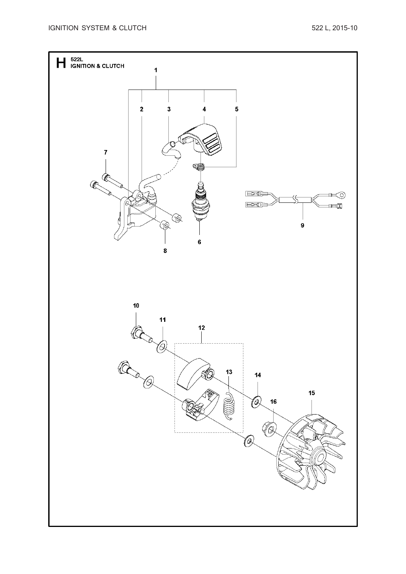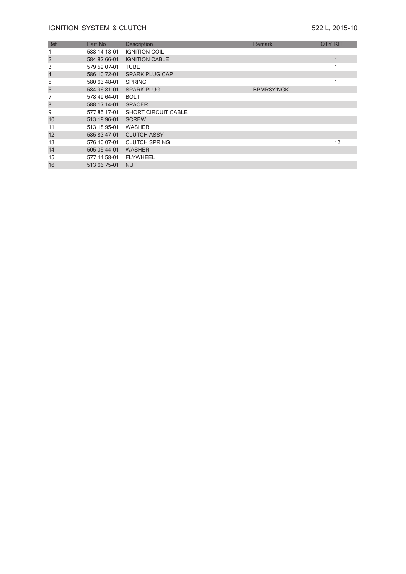| Ref                      | Part No      | Description                | Remark            | <b>QTY KIT</b> |
|--------------------------|--------------|----------------------------|-------------------|----------------|
|                          | 588 14 18-01 | <b>IGNITION COIL</b>       |                   |                |
| $\overline{\mathbf{c}}$  | 584 82 66-01 | <b>IGNITION CABLE</b>      |                   | 1              |
| 3                        | 579 59 07-01 | TUBE                       |                   |                |
| $\overline{\mathcal{L}}$ | 586 10 72-01 | <b>SPARK PLUG CAP</b>      |                   | 1              |
| 5                        | 580 63 48-01 | <b>SPRING</b>              |                   |                |
| 6                        | 584 96 81-01 | <b>SPARK PLUG</b>          | <b>BPMR8Y:NGK</b> |                |
|                          | 578 49 64-01 | <b>BOLT</b>                |                   |                |
| 8                        | 588 17 14-01 | <b>SPACER</b>              |                   |                |
| 9                        | 577 85 17-01 | <b>SHORT CIRCUIT CABLE</b> |                   |                |
| 10                       | 513 18 96-01 | <b>SCREW</b>               |                   |                |
| 11                       | 513 18 95-01 | <b>WASHER</b>              |                   |                |
| 12                       | 585 83 47-01 | <b>CLUTCH ASSY</b>         |                   |                |
| 13                       | 576 40 07-01 | <b>CLUTCH SPRING</b>       |                   | 12             |
| 14                       | 505 05 44-01 | <b>WASHER</b>              |                   |                |
| 15                       | 577 44 58-01 | <b>FLYWHEEL</b>            |                   |                |
| 16                       | 513 66 75-01 | <b>NUT</b>                 |                   |                |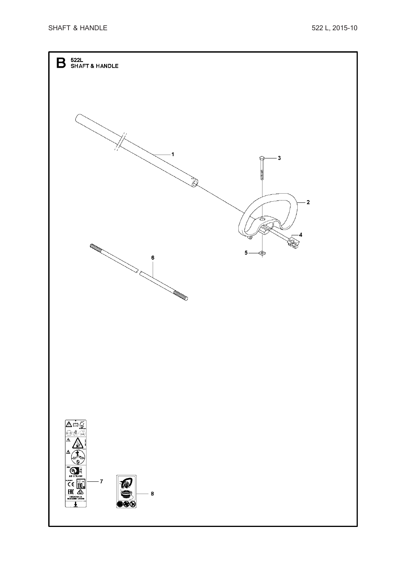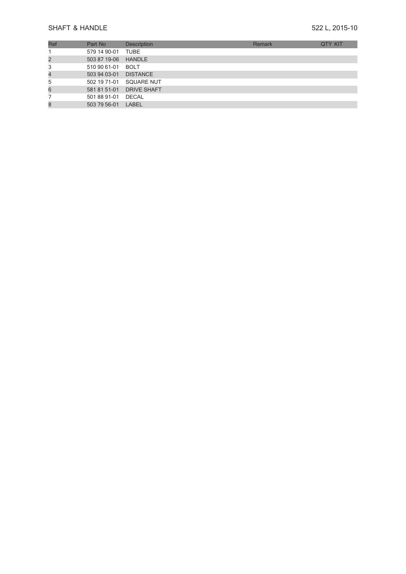# SHAFT & HANDLE

# **& HANDLE** 522 L, 2015-10

| Ref            | Part No             | <b>Description</b>       | Remark | <b>QTY KIT</b> |
|----------------|---------------------|--------------------------|--------|----------------|
|                | 579 14 90-01 TUBE   |                          |        |                |
| 2              | 503 87 19-06 HANDLE |                          |        |                |
| 3              | 510 90 61-01        | <b>BOLT</b>              |        |                |
| $\overline{4}$ | 503 94 03-01        | <b>DISTANCE</b>          |        |                |
| 5              |                     | 502 19 71-01 SQUARE NUT  |        |                |
| 6              |                     | 581 81 51-01 DRIVE SHAFT |        |                |
|                | 501 88 91-01 DECAL  |                          |        |                |
| 8              | 503 79 56-01 LABEL  |                          |        |                |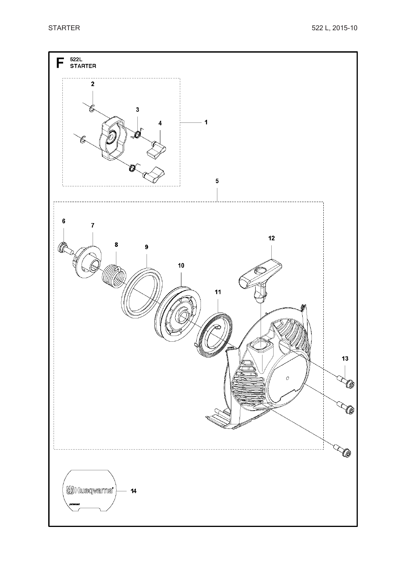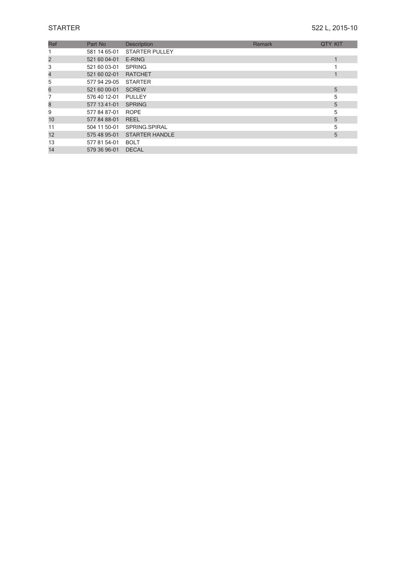| Ref | Part No      | <b>Description</b>    | Remark | <b>QTY KIT</b> |
|-----|--------------|-----------------------|--------|----------------|
|     | 581 14 65-01 | <b>STARTER PULLEY</b> |        |                |
| 2   | 521 60 04-01 | E-RING                |        |                |
| 3   | 521 60 03-01 | <b>SPRING</b>         |        |                |
| 4   | 521 60 02-01 | <b>RATCHET</b>        |        |                |
| 5   | 577 94 29-05 | <b>STARTER</b>        |        |                |
| 6   | 521 60 00-01 | <b>SCREW</b>          |        | 5              |
|     | 576 40 12-01 | <b>PULLEY</b>         |        | 5              |
| 8   | 577 13 41-01 | <b>SPRING</b>         |        | 5              |
| 9   | 577 84 87-01 | <b>ROPE</b>           |        | 5              |
| 10  | 577 84 88-01 | <b>REEL</b>           |        | 5              |
| 11  | 504 11 50-01 | SPRING.SPIRAL         |        | 5              |
| 12  | 575 48 95-01 | <b>STARTER HANDLE</b> |        | 5              |
| 13  | 577 81 54-01 | <b>BOLT</b>           |        |                |
| 14  | 579 36 96-01 | <b>DECAL</b>          |        |                |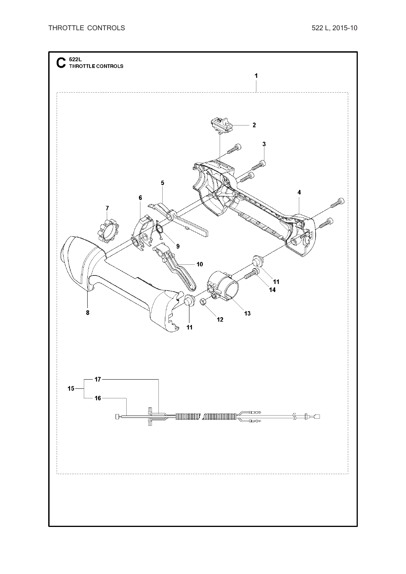